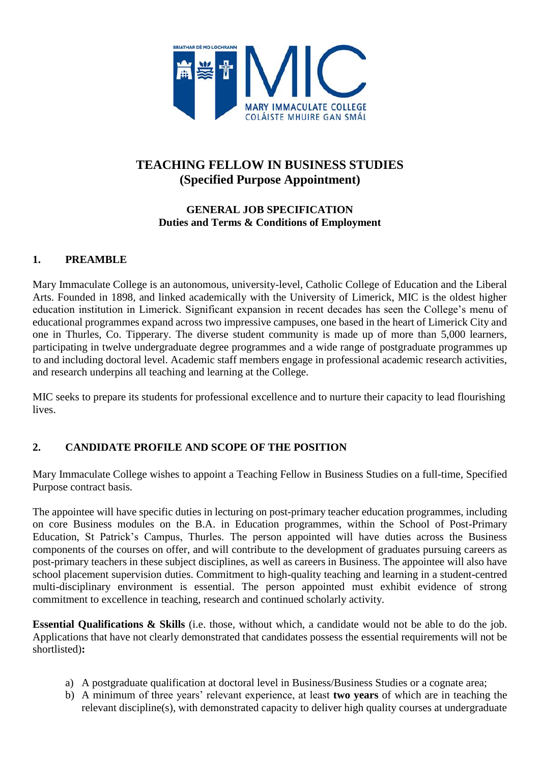

# **TEACHING FELLOW IN BUSINESS STUDIES (Specified Purpose Appointment)**

## **GENERAL JOB SPECIFICATION Duties and Terms & Conditions of Employment**

## **1. PREAMBLE**

Mary Immaculate College is an autonomous, university-level, Catholic College of Education and the Liberal Arts. Founded in 1898, and linked academically with the University of Limerick, MIC is the oldest higher education institution in Limerick. Significant expansion in recent decades has seen the College's menu of educational programmes expand across two impressive campuses, one based in the heart of Limerick City and one in Thurles, Co. Tipperary. The diverse student community is made up of more than 5,000 learners, participating in twelve undergraduate degree programmes and a wide range of postgraduate programmes up to and including doctoral level. Academic staff members engage in professional academic research activities, and research underpins all teaching and learning at the College.

MIC seeks to prepare its students for professional excellence and to nurture their capacity to lead flourishing lives.

# **2. CANDIDATE PROFILE AND SCOPE OF THE POSITION**

Mary Immaculate College wishes to appoint a Teaching Fellow in Business Studies on a full-time, Specified Purpose contract basis*.*

The appointee will have specific duties in lecturing on post-primary teacher education programmes, including on core Business modules on the B.A. in Education programmes, within the School of Post-Primary Education, St Patrick's Campus, Thurles. The person appointed will have duties across the Business components of the courses on offer, and will contribute to the development of graduates pursuing careers as post-primary teachers in these subject disciplines, as well as careers in Business. The appointee will also have school placement supervision duties. Commitment to high-quality teaching and learning in a student-centred multi-disciplinary environment is essential. The person appointed must exhibit evidence of strong commitment to excellence in teaching, research and continued scholarly activity.

**Essential Qualifications & Skills** (i.e. those, without which, a candidate would not be able to do the job. Applications that have not clearly demonstrated that candidates possess the essential requirements will not be shortlisted)**:**

- a) A postgraduate qualification at doctoral level in Business/Business Studies or a cognate area;
- b) A minimum of three years' relevant experience, at least **two years** of which are in teaching the relevant discipline(s), with demonstrated capacity to deliver high quality courses at undergraduate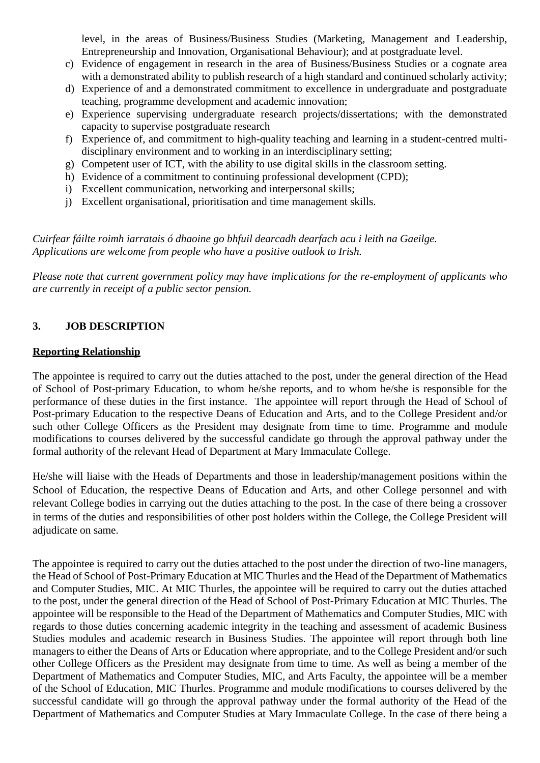level, in the areas of Business/Business Studies (Marketing, Management and Leadership, Entrepreneurship and Innovation, Organisational Behaviour); and at postgraduate level.

- c) Evidence of engagement in research in the area of Business/Business Studies or a cognate area with a demonstrated ability to publish research of a high standard and continued scholarly activity;
- d) Experience of and a demonstrated commitment to excellence in undergraduate and postgraduate teaching, programme development and academic innovation;
- e) Experience supervising undergraduate research projects/dissertations; with the demonstrated capacity to supervise postgraduate research
- f) Experience of, and commitment to high-quality teaching and learning in a student-centred multidisciplinary environment and to working in an interdisciplinary setting;
- g) Competent user of ICT, with the ability to use digital skills in the classroom setting.
- h) Evidence of a commitment to continuing professional development (CPD);
- i) Excellent communication, networking and interpersonal skills;
- j) Excellent organisational, prioritisation and time management skills.

*Cuirfear fáilte roimh iarratais ó dhaoine go bhfuil dearcadh dearfach acu i leith na Gaeilge. Applications are welcome from people who have a positive outlook to Irish.*

*Please note that current government policy may have implications for the re-employment of applicants who are currently in receipt of a public sector pension.*

#### **3. JOB DESCRIPTION**

#### **Reporting Relationship**

The appointee is required to carry out the duties attached to the post, under the general direction of the Head of School of Post-primary Education, to whom he/she reports, and to whom he/she is responsible for the performance of these duties in the first instance. The appointee will report through the Head of School of Post-primary Education to the respective Deans of Education and Arts, and to the College President and/or such other College Officers as the President may designate from time to time. Programme and module modifications to courses delivered by the successful candidate go through the approval pathway under the formal authority of the relevant Head of Department at Mary Immaculate College.

He/she will liaise with the Heads of Departments and those in leadership/management positions within the School of Education, the respective Deans of Education and Arts, and other College personnel and with relevant College bodies in carrying out the duties attaching to the post. In the case of there being a crossover in terms of the duties and responsibilities of other post holders within the College, the College President will adjudicate on same.

The appointee is required to carry out the duties attached to the post under the direction of two-line managers, the Head of School of Post-Primary Education at MIC Thurles and the Head of the Department of Mathematics and Computer Studies, MIC. At MIC Thurles, the appointee will be required to carry out the duties attached to the post, under the general direction of the Head of School of Post-Primary Education at MIC Thurles. The appointee will be responsible to the Head of the Department of Mathematics and Computer Studies, MIC with regards to those duties concerning academic integrity in the teaching and assessment of academic Business Studies modules and academic research in Business Studies. The appointee will report through both line managers to either the Deans of Arts or Education where appropriate, and to the College President and/or such other College Officers as the President may designate from time to time. As well as being a member of the Department of Mathematics and Computer Studies, MIC, and Arts Faculty, the appointee will be a member of the School of Education, MIC Thurles. Programme and module modifications to courses delivered by the successful candidate will go through the approval pathway under the formal authority of the Head of the Department of Mathematics and Computer Studies at Mary Immaculate College. In the case of there being a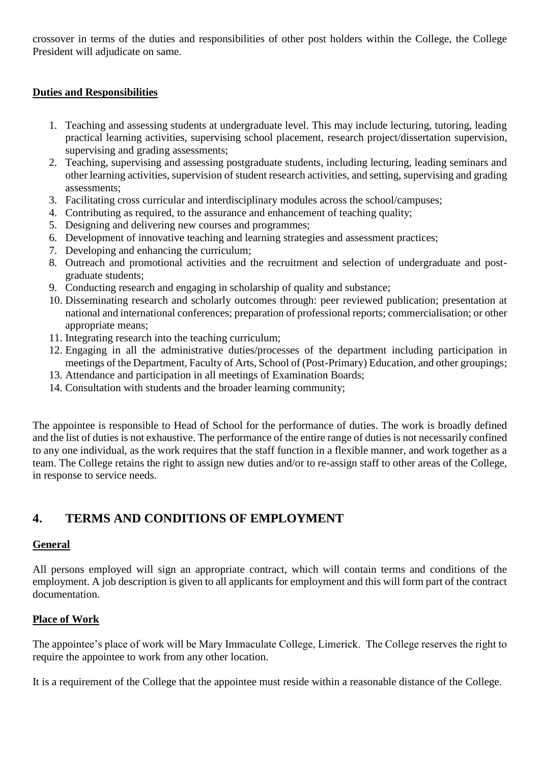crossover in terms of the duties and responsibilities of other post holders within the College, the College President will adjudicate on same.

#### **Duties and Responsibilities**

- 1. Teaching and assessing students at undergraduate level. This may include lecturing, tutoring, leading practical learning activities, supervising school placement, research project/dissertation supervision, supervising and grading assessments;
- 2. Teaching, supervising and assessing postgraduate students, including lecturing, leading seminars and other learning activities, supervision of student research activities, and setting, supervising and grading assessments;
- 3. Facilitating cross curricular and interdisciplinary modules across the school/campuses;
- 4. Contributing as required, to the assurance and enhancement of teaching quality;
- 5. Designing and delivering new courses and programmes;
- 6. Development of innovative teaching and learning strategies and assessment practices;
- 7. Developing and enhancing the curriculum;
- 8. Outreach and promotional activities and the recruitment and selection of undergraduate and postgraduate students;
- 9. Conducting research and engaging in scholarship of quality and substance;
- 10. Disseminating research and scholarly outcomes through: peer reviewed publication; presentation at national and international conferences; preparation of professional reports; commercialisation; or other appropriate means;
- 11. Integrating research into the teaching curriculum;
- 12. Engaging in all the administrative duties/processes of the department including participation in meetings of the Department, Faculty of Arts, School of (Post-Primary) Education, and other groupings;
- 13. Attendance and participation in all meetings of Examination Boards;
- 14. Consultation with students and the broader learning community;

The appointee is responsible to Head of School for the performance of duties. The work is broadly defined and the list of duties is not exhaustive. The performance of the entire range of duties is not necessarily confined to any one individual, as the work requires that the staff function in a flexible manner, and work together as a team. The College retains the right to assign new duties and/or to re-assign staff to other areas of the College, in response to service needs.

# **4. TERMS AND CONDITIONS OF EMPLOYMENT**

#### **General**

All persons employed will sign an appropriate contract, which will contain terms and conditions of the employment. A job description is given to all applicants for employment and this will form part of the contract documentation.

#### **Place of Work**

The appointee's place of work will be Mary Immaculate College, Limerick. The College reserves the right to require the appointee to work from any other location.

It is a requirement of the College that the appointee must reside within a reasonable distance of the College.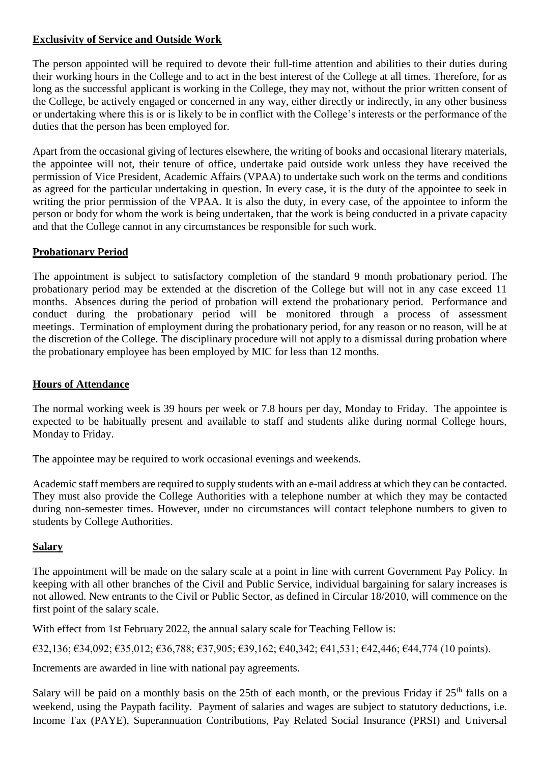### **Exclusivity of Service and Outside Work**

The person appointed will be required to devote their full-time attention and abilities to their duties during their working hours in the College and to act in the best interest of the College at all times. Therefore, for as long as the successful applicant is working in the College, they may not, without the prior written consent of the College, be actively engaged or concerned in any way, either directly or indirectly, in any other business or undertaking where this is or is likely to be in conflict with the College's interests or the performance of the duties that the person has been employed for.

Apart from the occasional giving of lectures elsewhere, the writing of books and occasional literary materials, the appointee will not, their tenure of office, undertake paid outside work unless they have received the permission of Vice President, Academic Affairs (VPAA) to undertake such work on the terms and conditions as agreed for the particular undertaking in question. In every case, it is the duty of the appointee to seek in writing the prior permission of the VPAA. It is also the duty, in every case, of the appointee to inform the person or body for whom the work is being undertaken, that the work is being conducted in a private capacity and that the College cannot in any circumstances be responsible for such work.

# **Probationary Period**

The appointment is subject to satisfactory completion of the standard 9 month probationary period. The probationary period may be extended at the discretion of the College but will not in any case exceed 11 months. Absences during the period of probation will extend the probationary period. Performance and conduct during the probationary period will be monitored through a process of assessment meetings. Termination of employment during the probationary period, for any reason or no reason, will be at the discretion of the College. The disciplinary procedure will not apply to a dismissal during probation where the probationary employee has been employed by MIC for less than 12 months.

#### **Hours of Attendance**

The normal working week is 39 hours per week or 7.8 hours per day, Monday to Friday. The appointee is expected to be habitually present and available to staff and students alike during normal College hours, Monday to Friday.

The appointee may be required to work occasional evenings and weekends.

Academic staff members are required to supply students with an e-mail address at which they can be contacted. They must also provide the College Authorities with a telephone number at which they may be contacted during non-semester times. However, under no circumstances will contact telephone numbers to given to students by College Authorities.

#### **Salary**

The appointment will be made on the salary scale at a point in line with current Government Pay Policy. In keeping with all other branches of the Civil and Public Service, individual bargaining for salary increases is not allowed. New entrants to the Civil or Public Sector, as defined in Circular 18/2010, will commence on the first point of the salary scale.

With effect from 1st February 2022, the annual salary scale for Teaching Fellow is:

€32,136; €34,092; €35,012; €36,788; €37,905; €39,162; €40,342; €41,531; €42,446; €44,774 (10 points).

Increments are awarded in line with national pay agreements.

Salary will be paid on a monthly basis on the 25th of each month, or the previous Friday if  $25<sup>th</sup>$  falls on a weekend, using the Paypath facility. Payment of salaries and wages are subject to statutory deductions, i.e. Income Tax (PAYE), Superannuation Contributions, Pay Related Social Insurance (PRSI) and Universal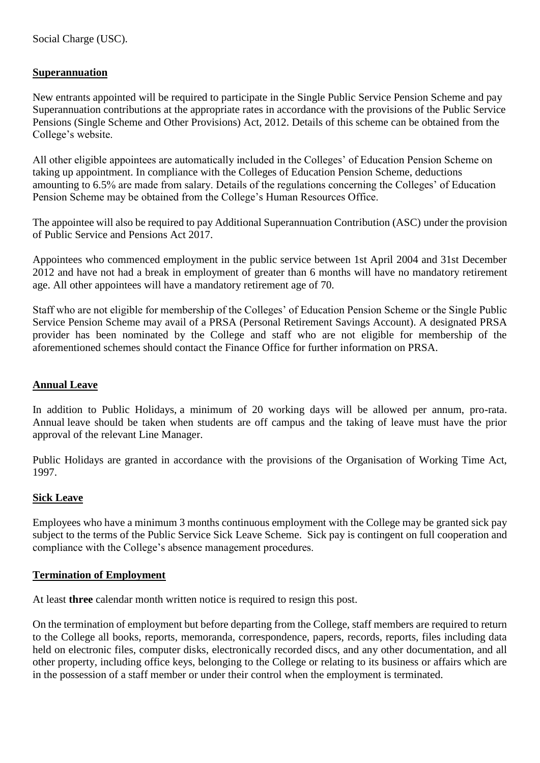### **Superannuation**

New entrants appointed will be required to participate in the Single Public Service Pension Scheme and pay Superannuation contributions at the appropriate rates in accordance with the provisions of the Public Service Pensions (Single Scheme and Other Provisions) Act, 2012. Details of this scheme can be obtained from the College's website.

All other eligible appointees are automatically included in the Colleges' of Education Pension Scheme on taking up appointment. In compliance with the Colleges of Education Pension Scheme, deductions amounting to 6.5% are made from salary. Details of the regulations concerning the Colleges' of Education Pension Scheme may be obtained from the College's Human Resources Office.

The appointee will also be required to pay Additional Superannuation Contribution (ASC) under the provision of Public Service and Pensions Act 2017.

Appointees who commenced employment in the public service between 1st April 2004 and 31st December 2012 and have not had a break in employment of greater than 6 months will have no mandatory retirement age. All other appointees will have a mandatory retirement age of 70.

Staff who are not eligible for membership of the Colleges' of Education Pension Scheme or the Single Public Service Pension Scheme may avail of a PRSA (Personal Retirement Savings Account). A designated PRSA provider has been nominated by the College and staff who are not eligible for membership of the aforementioned schemes should contact the Finance Office for further information on PRSA.

### **Annual Leave**

In addition to Public Holidays, a minimum of 20 working days will be allowed per annum, pro-rata. Annual leave should be taken when students are off campus and the taking of leave must have the prior approval of the relevant Line Manager.

Public Holidays are granted in accordance with the provisions of the Organisation of Working Time Act, 1997.

#### **Sick Leave**

Employees who have a minimum 3 months continuous employment with the College may be granted sick pay subject to the terms of the Public Service Sick Leave Scheme. Sick pay is contingent on full cooperation and compliance with the College's absence management procedures.

#### **Termination of Employment**

At least **three** calendar month written notice is required to resign this post.

On the termination of employment but before departing from the College, staff members are required to return to the College all books, reports, memoranda, correspondence, papers, records, reports, files including data held on electronic files, computer disks, electronically recorded discs, and any other documentation, and all other property, including office keys, belonging to the College or relating to its business or affairs which are in the possession of a staff member or under their control when the employment is terminated.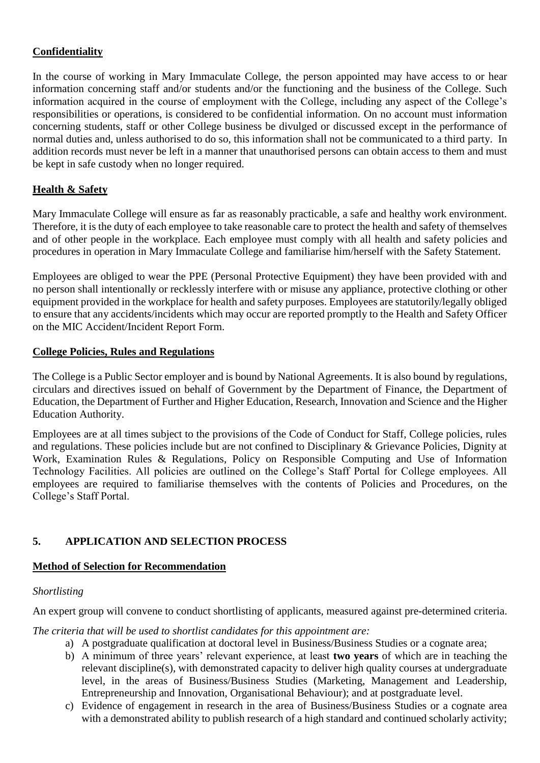### **Confidentiality**

In the course of working in Mary Immaculate College, the person appointed may have access to or hear information concerning staff and/or students and/or the functioning and the business of the College. Such information acquired in the course of employment with the College, including any aspect of the College's responsibilities or operations, is considered to be confidential information. On no account must information concerning students, staff or other College business be divulged or discussed except in the performance of normal duties and, unless authorised to do so, this information shall not be communicated to a third party. In addition records must never be left in a manner that unauthorised persons can obtain access to them and must be kept in safe custody when no longer required.

## **Health & Safety**

Mary Immaculate College will ensure as far as reasonably practicable, a safe and healthy work environment. Therefore, it is the duty of each employee to take reasonable care to protect the health and safety of themselves and of other people in the workplace. Each employee must comply with all health and safety policies and procedures in operation in Mary Immaculate College and familiarise him/herself with the Safety Statement.

Employees are obliged to wear the PPE (Personal Protective Equipment) they have been provided with and no person shall intentionally or recklessly interfere with or misuse any appliance, protective clothing or other equipment provided in the workplace for health and safety purposes. Employees are statutorily/legally obliged to ensure that any accidents/incidents which may occur are reported promptly to the Health and Safety Officer on the MIC Accident/Incident Report Form.

#### **College Policies, Rules and Regulations**

The College is a Public Sector employer and is bound by National Agreements. It is also bound by regulations, circulars and directives issued on behalf of Government by the Department of Finance, the Department of Education, the Department of Further and Higher Education, Research, Innovation and Science and the Higher Education Authority.

Employees are at all times subject to the provisions of the Code of Conduct for Staff, College policies, rules and regulations. These policies include but are not confined to Disciplinary & Grievance Policies, Dignity at Work, Examination Rules & Regulations, Policy on Responsible Computing and Use of Information Technology Facilities. All policies are outlined on the College's Staff Portal for College employees. All employees are required to familiarise themselves with the contents of Policies and Procedures, on the College's Staff Portal.

# **5. APPLICATION AND SELECTION PROCESS**

#### **Method of Selection for Recommendation**

#### *Shortlisting*

An expert group will convene to conduct shortlisting of applicants, measured against pre-determined criteria.

*The criteria that will be used to shortlist candidates for this appointment are:*

- a) A postgraduate qualification at doctoral level in Business/Business Studies or a cognate area;
- b) A minimum of three years' relevant experience, at least **two years** of which are in teaching the relevant discipline(s), with demonstrated capacity to deliver high quality courses at undergraduate level, in the areas of Business/Business Studies (Marketing, Management and Leadership, Entrepreneurship and Innovation, Organisational Behaviour); and at postgraduate level.
- c) Evidence of engagement in research in the area of Business/Business Studies or a cognate area with a demonstrated ability to publish research of a high standard and continued scholarly activity;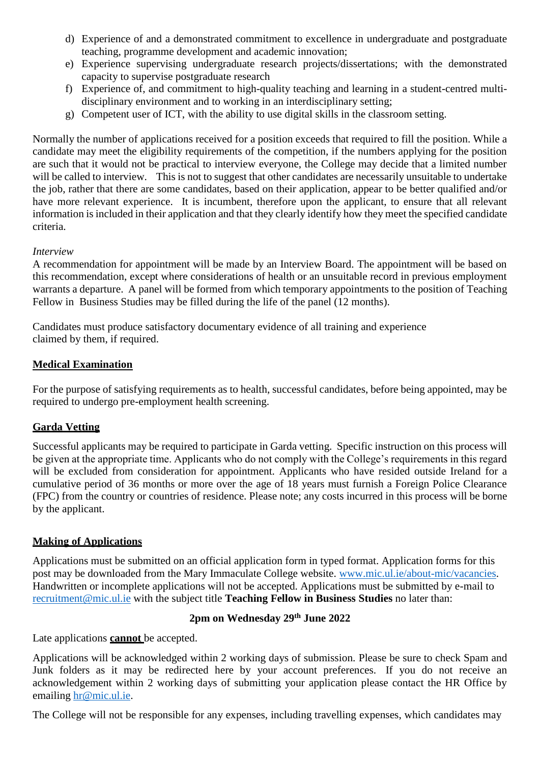- d) Experience of and a demonstrated commitment to excellence in undergraduate and postgraduate teaching, programme development and academic innovation;
- e) Experience supervising undergraduate research projects/dissertations; with the demonstrated capacity to supervise postgraduate research
- f) Experience of, and commitment to high-quality teaching and learning in a student-centred multidisciplinary environment and to working in an interdisciplinary setting;
- g) Competent user of ICT, with the ability to use digital skills in the classroom setting.

Normally the number of applications received for a position exceeds that required to fill the position. While a candidate may meet the eligibility requirements of the competition, if the numbers applying for the position are such that it would not be practical to interview everyone, the College may decide that a limited number will be called to interview. This is not to suggest that other candidates are necessarily unsuitable to undertake the job, rather that there are some candidates, based on their application, appear to be better qualified and/or have more relevant experience. It is incumbent, therefore upon the applicant, to ensure that all relevant information is included in their application and that they clearly identify how they meet the specified candidate criteria.

#### *Interview*

A recommendation for appointment will be made by an Interview Board. The appointment will be based on this recommendation, except where considerations of health or an unsuitable record in previous employment warrants a departure. A panel will be formed from which temporary appointments to the position of Teaching Fellow in Business Studies may be filled during the life of the panel (12 months).

Candidates must produce satisfactory documentary evidence of all training and experience claimed by them, if required.

#### **Medical Examination**

For the purpose of satisfying requirements as to health, successful candidates, before being appointed, may be required to undergo pre-employment health screening.

# **Garda Vetting**

Successful applicants may be required to participate in Garda vetting. Specific instruction on this process will be given at the appropriate time. Applicants who do not comply with the College's requirements in this regard will be excluded from consideration for appointment. Applicants who have resided outside Ireland for a cumulative period of 36 months or more over the age of 18 years must furnish a Foreign Police Clearance (FPC) from the country or countries of residence. Please note; any costs incurred in this process will be borne by the applicant.

#### **Making of Applications**

Applications must be submitted on an official application form in typed format. Application forms for this post may be downloaded from the Mary Immaculate College website. [www.mic.ul.ie/about-mic/vacancies.](http://www.mic.ul.ie/about-mic/vacancies) Handwritten or incomplete applications will not be accepted. Applications must be submitted by e-mail to [recruitment@mic.ul.ie](mailto:recruitment@mic.ul.ie) with the subject title **Teaching Fellow in Business Studies** no later than:

# **2pm on Wednesday 29th June 2022**

Late applications **cannot** be accepted.

Applications will be acknowledged within 2 working days of submission. Please be sure to check Spam and Junk folders as it may be redirected here by your account preferences. If you do not receive an acknowledgement within 2 working days of submitting your application please contact the HR Office by emailing [hr@mic.ul.ie.](mailto:hr@mic.ul.ie)

The College will not be responsible for any expenses, including travelling expenses, which candidates may